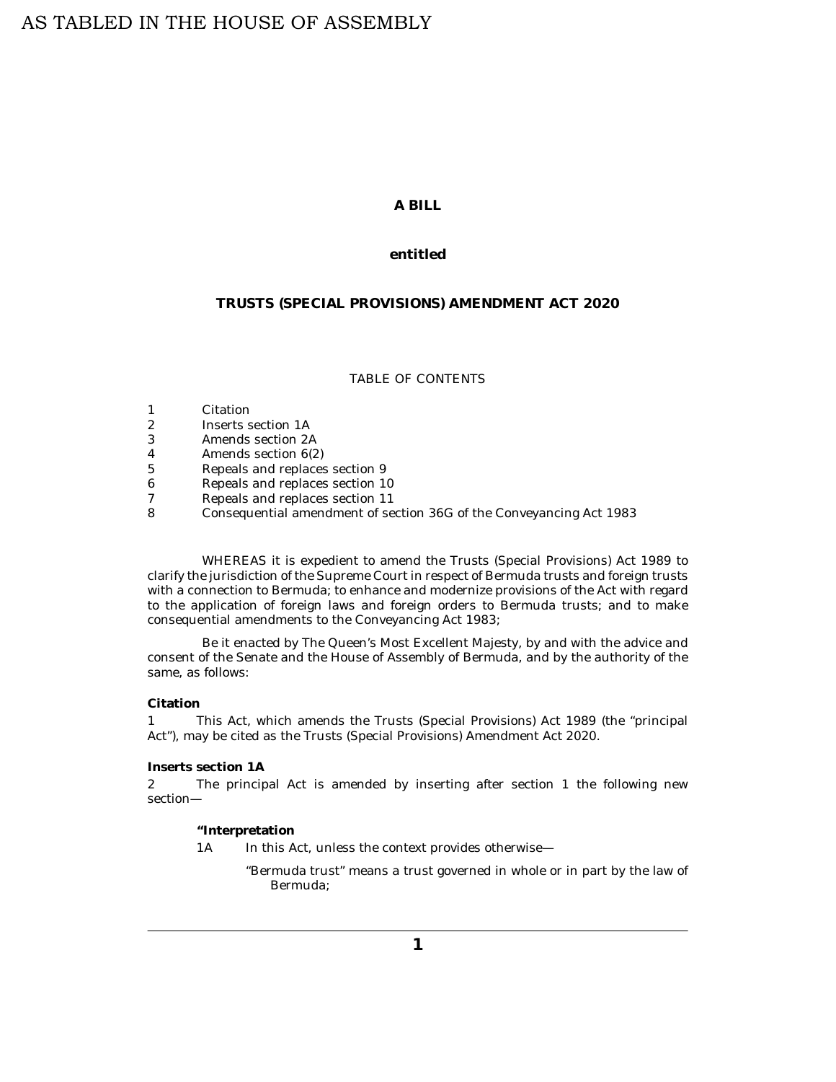# **A BILL**

# **entitled**

# **TRUSTS (SPECIAL PROVISIONS) AMENDMENT ACT 2020**

#### TABLE OF CONTENTS

#### Citation 1

- Inserts section 1A 2
- [Amends section 2A](#page-1-0) 3
- [Amends section 6\(2\)](#page-1-0) 4
- [Repeals and replaces section 9](#page-1-0) 5
- [Repeals and replaces section 10](#page-2-0) 6
- [Repeals and replaces section 11](#page-3-0) 7
- [Consequential amendment of section 36G of the Conveyancing Act 1983](#page-3-0) 8

WHEREAS it is expedient to amend the Trusts (Special Provisions) Act 1989 to clarify the jurisdiction of the Supreme Court in respect of Bermuda trusts and foreign trusts with a connection to Bermuda; to enhance and modernize provisions of the Act with regard to the application of foreign laws and foreign orders to Bermuda trusts; and to make consequential amendments to the Conveyancing Act 1983;

Be it enacted by The Queen's Most Excellent Majesty, by and with the advice and consent of the Senate and the House of Assembly of Bermuda, and by the authority of the same, as follows:

### **Citation**

This Act, which amends the Trusts (Special Provisions) Act 1989 (the "principal Act"), may be cited as the Trusts (Special Provisions) Amendment Act 2020. 1

### **Inserts section 1A**

The principal Act is amended by inserting after section 1 the following new section— 2

**"Interpretation**

In this Act, unless the context provides otherwise— 1A

> "Bermuda trust" means a trust governed in whole or in part by the law of Bermuda;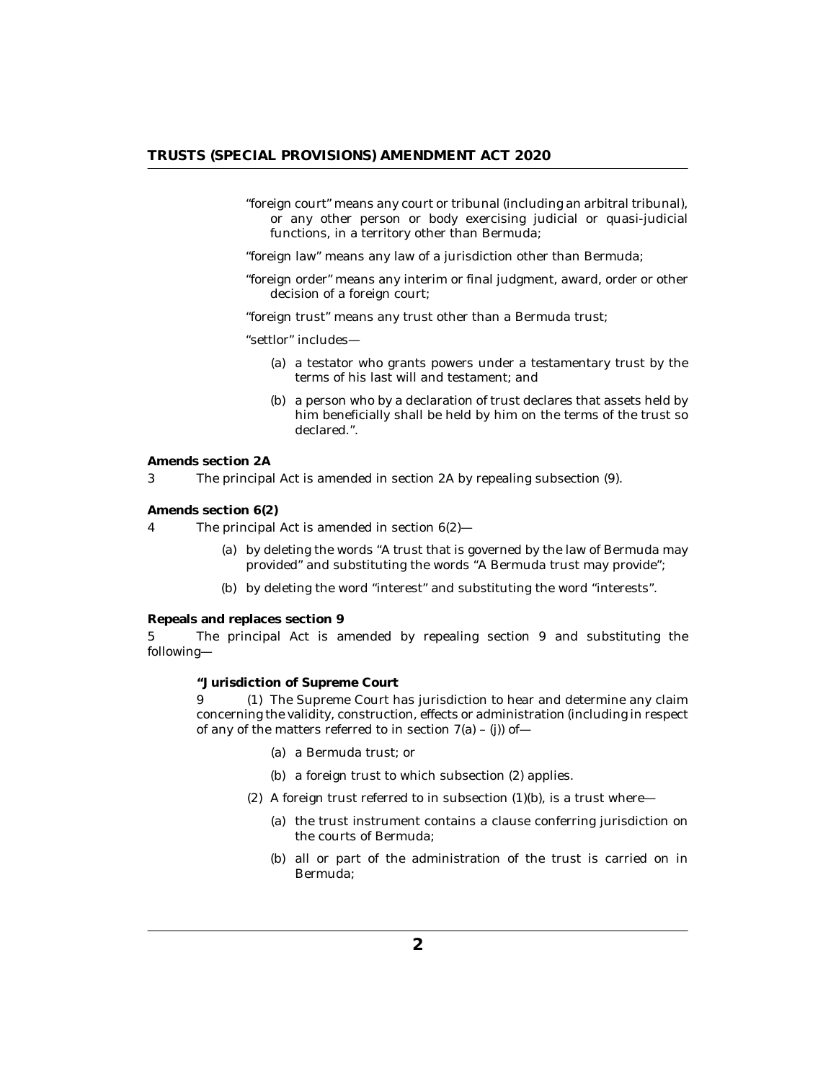- <span id="page-1-0"></span>"foreign court" means any court or tribunal (including an arbitral tribunal), or any other person or body exercising judicial or quasi-judicial functions, in a territory other than Bermuda;
- "foreign law" means any law of a jurisdiction other than Bermuda;
- "foreign order" means any interim or final judgment, award, order or other decision of a foreign court;

"foreign trust" means any trust other than a Bermuda trust;

"settlor" includes—

- (a) a testator who grants powers under a testamentary trust by the terms of his last will and testament; and
- (b) a person who by a declaration of trust declares that assets held by him beneficially shall be held by him on the terms of the trust so declared.".

**Amends section 2A**

The principal Act is amended in section 2A by repealing subsection (9). 3

**Amends section 6(2)**

- The principal Act is amended in section 6(2)— 4
	- (a) by deleting the words "A trust that is governed by the law of Bermuda may provided" and substituting the words "A Bermuda trust may provide";
	- by deleting the word "interest" and substituting the word "interests". (b)

**Repeals and replaces section 9**

The principal Act is amended by repealing section 9 and substituting the following— 5

**"Jurisdiction of Supreme Court**

9 (1) The Supreme Court has jurisdiction to hear and determine any claim concerning the validity, construction, effects or administration (including in respect of any of the matters referred to in section  $7(a) - (j)$  of-

- (a) a Bermuda trust; or
- (b) a foreign trust to which subsection (2) applies.
- $(2)$  A foreign trust referred to in subsection  $(1)(b)$ , is a trust where-
	- (a) the trust instrument contains a clause conferring jurisdiction on the courts of Bermuda;
	- (b) all or part of the administration of the trust is carried on in Bermuda;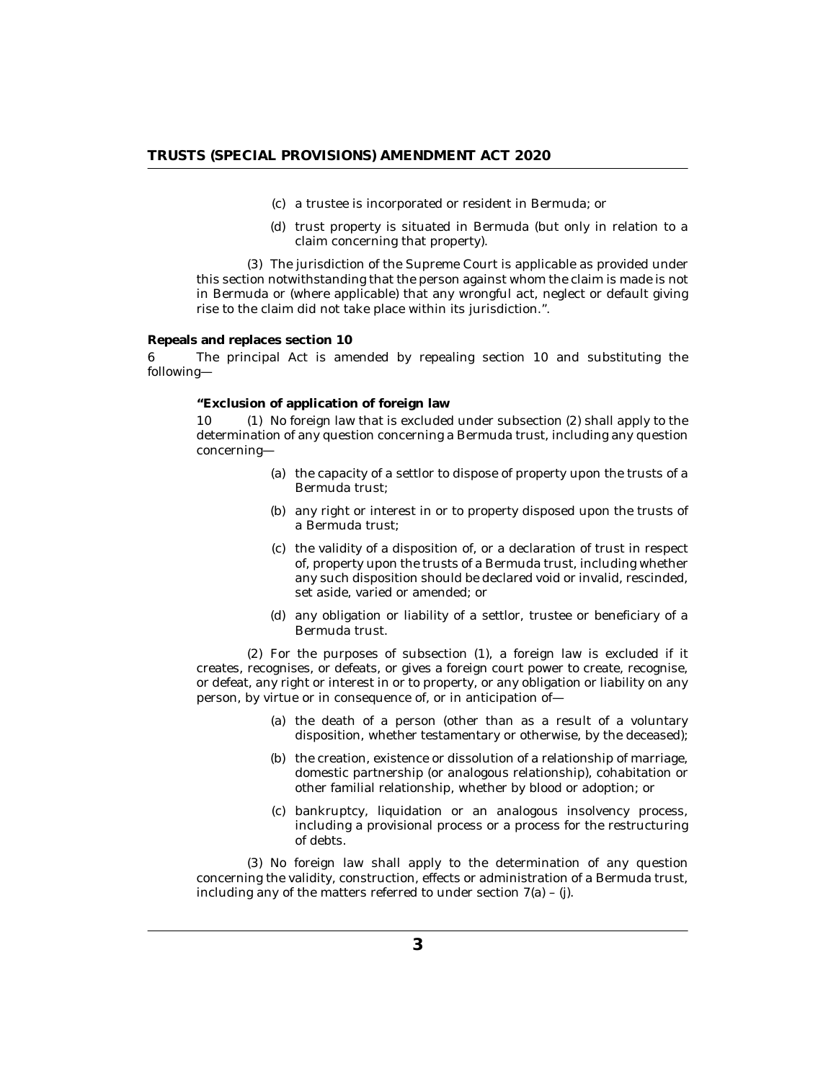- a trustee is incorporated or resident in Bermuda; or (c)
- (d) trust property is situated in Bermuda (but only in relation to a claim concerning that property).

<span id="page-2-0"></span>(3) The jurisdiction of the Supreme Court is applicable as provided under this section notwithstanding that the person against whom the claim is made is not in Bermuda or (where applicable) that any wrongful act, neglect or default giving rise to the claim did not take place within its jurisdiction.".

### **Repeals and replaces section 10**

The principal Act is amended by repealing section 10 and substituting the following— 6

**"Exclusion of application of foreign law**

10 (1) No foreign law that is excluded under subsection (2) shall apply to the determination of any question concerning a Bermuda trust, including any question concerning—

- (a) the capacity of a settlor to dispose of property upon the trusts of a Bermuda trust;
- (b) any right or interest in or to property disposed upon the trusts of a Bermuda trust;
- (c) the validity of a disposition of, or a declaration of trust in respect of, property upon the trusts of a Bermuda trust, including whether any such disposition should be declared void or invalid, rescinded, set aside, varied or amended; or
- (d) any obligation or liability of a settlor, trustee or beneficiary of a Bermuda trust.

 $(2)$  For the purposes of subsection  $(1)$ , a foreign law is excluded if it creates, recognises, or defeats, or gives a foreign court power to create, recognise, or defeat, any right or interest in or to property, or any obligation or liability on any person, by virtue or in consequence of, or in anticipation of—

- (a) the death of a person (other than as a result of a voluntary disposition, whether testamentary or otherwise, by the deceased);
- (b) the creation, existence or dissolution of a relationship of marriage, domestic partnership (or analogous relationship), cohabitation or other familial relationship, whether by blood or adoption; or
- bankruptcy, liquidation or an analogous insolvency process, (c) including a provisional process or a process for the restructuring of debts.

(3) No foreign law shall apply to the determination of any question concerning the validity, construction, effects or administration of a Bermuda trust, including any of the matters referred to under section  $7(a) - (j)$ .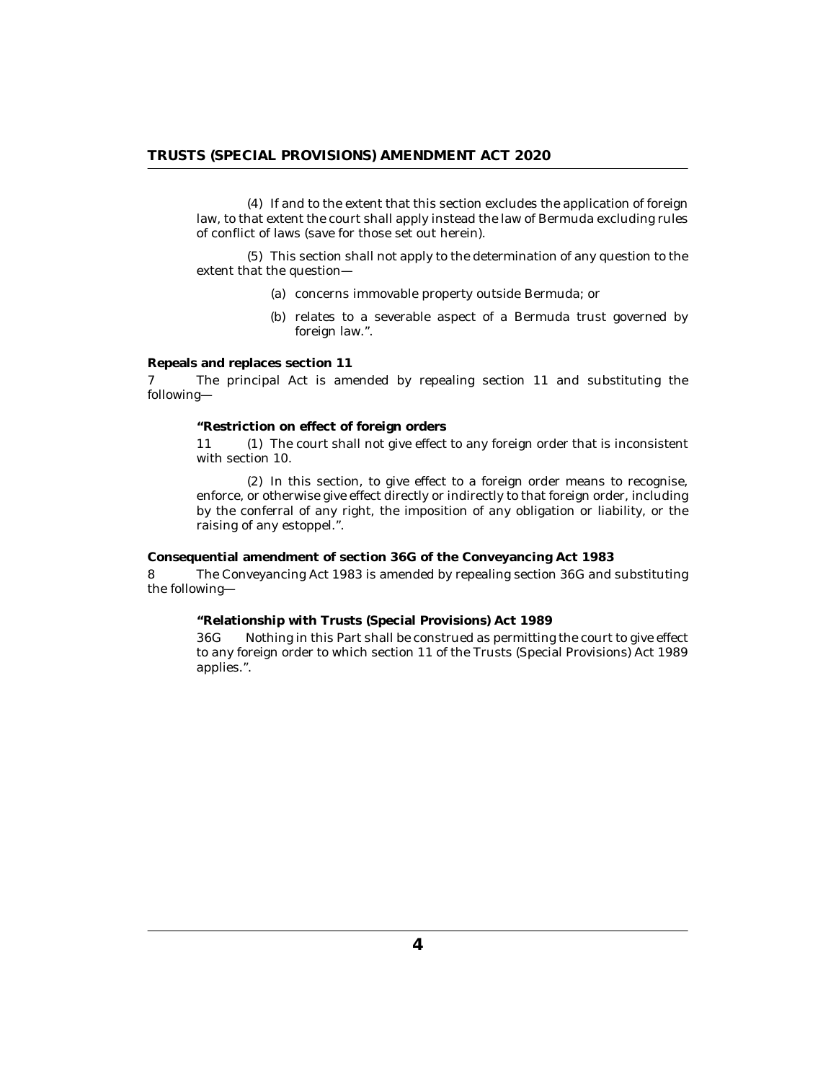<span id="page-3-0"></span>(4) If and to the extent that this section excludes the application of foreign law, to that extent the court shall apply instead the law of Bermuda excluding rules of conflict of laws (save for those set out herein).

(5) This section shall not apply to the determination of any question to the extent that the question—

- (a) concerns immovable property outside Bermuda; or
- (b) relates to a severable aspect of a Bermuda trust governed by foreign law.".

**Repeals and replaces section 11**

The principal Act is amended by repealing section 11 and substituting the following— 7

**"Restriction on effect of foreign orders**

11 (1) The court shall not give effect to any foreign order that is inconsistent with section 10.

(2) In this section, to give effect to a foreign order means to recognise, enforce, or otherwise give effect directly or indirectly to that foreign order, including by the conferral of any right, the imposition of any obligation or liability, or the raising of any estoppel.".

**Consequential amendment of section 36G of the Conveyancing Act 1983**

The Conveyancing Act 1983 is amended by repealing section 36G and substituting the following— 8

**"Relationship with Trusts (Special Provisions) Act 1989**

Nothing in this Part shall be construed as permitting the court to give effect to any foreign order to which section 11 of the Trusts (Special Provisions) Act 1989 applies.". 36G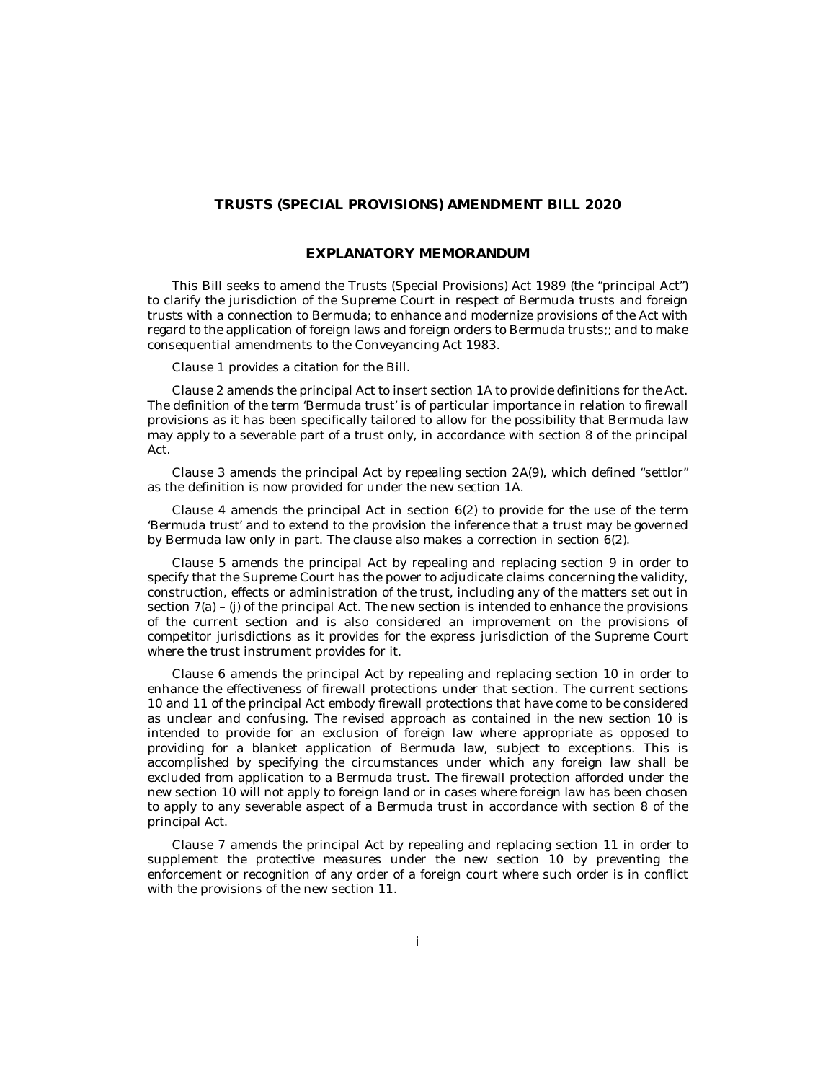## **TRUSTS (SPECIAL PROVISIONS) AMENDMENT BILL 2020**

## **EXPLANATORY MEMORANDUM**

This Bill seeks to amend the Trusts (Special Provisions) Act 1989 (the "principal Act") to clarify the jurisdiction of the Supreme Court in respect of Bermuda trusts and foreign trusts with a connection to Bermuda; to enhance and modernize provisions of the Act with regard to the application of foreign laws and foreign orders to Bermuda trusts;; and to make consequential amendments to the Conveyancing Act 1983.

#### Clause 1 provides a citation for the Bill.

Clause 2 amends the principal Act to insert section 1A to provide definitions for the Act. The definition of the term 'Bermuda trust' is of particular importance in relation to firewall provisions as it has been specifically tailored to allow for the possibility that Bermuda law may apply to a severable part of a trust only, in accordance with section 8 of the principal Act.

Clause 3 amends the principal Act by repealing section 2A(9), which defined "settlor" as the definition is now provided for under the new section 1A.

Clause 4 amends the principal Act in section  $6(2)$  to provide for the use of the term 'Bermuda trust' and to extend to the provision the inference that a trust may be governed by Bermuda law only in part. The clause also makes a correction in section 6(2).

Clause 5 amends the principal Act by repealing and replacing section 9 in order to specify that the Supreme Court has the power to adjudicate claims concerning the validity, construction, effects or administration of the trust, including any of the matters set out in section  $7(a)$  – (j) of the principal Act. The new section is intended to enhance the provisions of the current section and is also considered an improvement on the provisions of competitor jurisdictions as it provides for the express jurisdiction of the Supreme Court where the trust instrument provides for it.

Clause 6 amends the principal Act by repealing and replacing section 10 in order to enhance the effectiveness of firewall protections under that section. The current sections 10 and 11 of the principal Act embody firewall protections that have come to be considered as unclear and confusing. The revised approach as contained in the new section 10 is intended to provide for an exclusion of foreign law where appropriate as opposed to providing for a blanket application of Bermuda law, subject to exceptions. This is accomplished by specifying the circumstances under which any foreign law shall be excluded from application to a Bermuda trust. The firewall protection afforded under the new section 10 will not apply to foreign land or in cases where foreign law has been chosen to apply to any severable aspect of a Bermuda trust in accordance with section 8 of the principal Act.

Clause 7 amends the principal Act by repealing and replacing section 11 in order to supplement the protective measures under the new section 10 by preventing the enforcement or recognition of any order of a foreign court where such order is in conflict with the provisions of the new section 11.